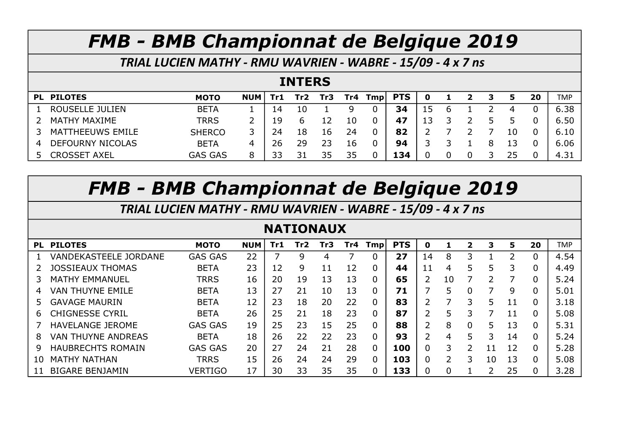TRIAL LUCIEN MATHY - RMU WAVRIEN - WABRE - 15/09 - 4 x 7 ns

#### INTERS

|   | PL PILOTES              | <b>MOTO</b>    | <b>NUM</b> | Tr1 | Tr2 | Tr3 |    | $Tr4$ Tmp | <b>PTS</b> |    |  | З |     | 20 | <b>TMP</b> |
|---|-------------------------|----------------|------------|-----|-----|-----|----|-----------|------------|----|--|---|-----|----|------------|
|   | ROUSELLE JULIEN         | <b>BETA</b>    |            | 14  | 10  |     | Q  |           | 34         | 15 |  |   | 4   |    | 6.38       |
|   | <b>MATHY MAXIME</b>     | <b>TRRS</b>    |            | 19  |     |     | 10 |           | 47         | 13 |  |   |     |    | 6.50       |
|   | MATTHEEUWS EMILE        | <b>SHERCO</b>  | 3.         | 24  | 18  | 16  | 24 |           | 82         |    |  |   | 10  |    | 6.10       |
| 4 | <b>DEFOURNY NICOLAS</b> | <b>BETA</b>    | 4          | 26  | 29  | 23  | 16 |           | 94         |    |  |   | 13. |    | 6.06       |
|   | CROSSET AXEL            | <b>GAS GAS</b> | 8          | צצ  |     | 35  | 35 |           | 134        |    |  |   | 25  |    | 4.31       |

# FMB - BMB Championnat de Belgique 2019

TRIAL LUCIEN MATHY - RMU WAVRIEN - WABRE - 15/09 - 4 x 7 ns

#### NATIONAUX

| PL | <b>PILOTES</b>               | <b>MOTO</b>    | <b>NUM</b> | Tr1 | Tr2 | Tr3 | Tr4 | <b>Tmp</b> | <b>PTS</b> | 0  |    | $\mathbf{z}$ | З  | 5  | 20       | <b>TMP</b> |
|----|------------------------------|----------------|------------|-----|-----|-----|-----|------------|------------|----|----|--------------|----|----|----------|------------|
|    | <b>VANDEKASTEELE JORDANE</b> | <b>GAS GAS</b> | 22         |     | 9   | 4   |     |            | 27         | 14 | 8  |              |    | 2  | 0        | 4.54       |
|    | JOSSIEAUX THOMAS             | <b>BETA</b>    | 23         | 12  | 9   | 11  | 12  | 0          | 44         | 11 | 4  | 5            | 5  | 3  | 0        | 4.49       |
| З  | <b>MATHY EMMANUEL</b>        | <b>TRRS</b>    | 16         | 20  | 19  | 13  | 13  |            | 65         | 2  | 10 |              | っ  | 7  | 0        | 5.24       |
| 4  | <b>VAN THUYNE EMILE</b>      | <b>BETA</b>    | 13         | 27  | 21  | 10  | 13  |            | 71         |    | 5  | 0            | 7  | 9  | 0        | 5.01       |
| 5. | <b>GAVAGE MAURIN</b>         | <b>BETA</b>    | 12         | 23  | 18  | 20  | 22  |            | 83         | ົ  |    |              | 5  | 11 | 0        | 3.18       |
| 6  | CHIGNESSE CYRIL              | <b>BETA</b>    | 26         | 25  | 21  | 18  | 23  |            | 87         | ר  | 5  |              |    | 11 | 0        | 5.08       |
|    | <b>HAVELANGE JEROME</b>      | <b>GAS GAS</b> | 19         | 25  | 23  | 15  | 25  |            | 88         | 2  | 8  | 0            | 5  | 13 | 0        | 5.31       |
| 8  | <b>VAN THUYNE ANDREAS</b>    | <b>BETA</b>    | 18         | 26  | 22  | 22  | 23  |            | 93         | າ  | 4  | 5            | 3  | 14 | 0        | 5.24       |
| 9  | <b>HAUBRECHTS ROMAIN</b>     | <b>GAS GAS</b> | 20         | 27  | 24  | 21  | 28  |            | 100        | 0  | 3  |              | 11 | 12 | 0        | 5.28       |
| 10 | <b>MATHY NATHAN</b>          | <b>TRRS</b>    | 15         | 26  | 24  | 24  | 29  |            | 103        | 0  |    |              | 10 | 13 | $\Omega$ | 5.08       |
|    | <b>BIGARE BENJAMIN</b>       | <b>VERTIGO</b> | 17         | 30  | 33  | 35  | 35  |            | 133        |    |    |              | っ  | 25 | 0        | 3.28       |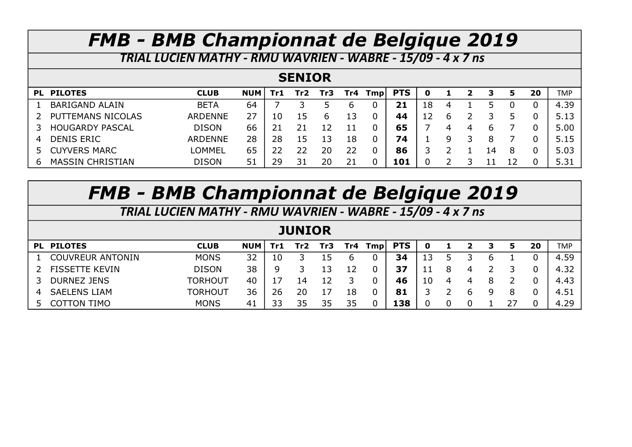TRIAL LUCIEN MATHY - RMU WAVRIEN - WABRE - 15/09 - 4 x 7 ns

#### SENIOR

|    | PL PILOTES             | <b>CLUB</b>    | <b>NUM</b> | Tr1. | Tr2 | Tr3 |     | $Tr4$ Tmp | <b>PTS</b> |    |   | $\mathbf{2}$ | 3  | 5 | 20 | <b>TMP</b> |
|----|------------------------|----------------|------------|------|-----|-----|-----|-----------|------------|----|---|--------------|----|---|----|------------|
|    | <b>BARIGAND ALAIN</b>  | <b>BETA</b>    | 64         |      |     |     | 6   |           | 21         | 18 | 4 |              |    |   |    | 4.39       |
|    | PUTTEMANS NICOLAS      | <b>ARDENNE</b> | 27         | 10   | 15  | h   | 13. |           | 44         | 12 |   |              |    |   |    | 5.13       |
|    | <b>HOUGARDY PASCAL</b> | <b>DISON</b>   | 66         |      |     |     |     |           | 65         |    | 4 | 4            | b  |   |    | 5.00       |
| 4  | <b>DENIS ERIC</b>      | <b>ARDENNE</b> | 28         | 28   | 15  | 13  | 18  |           | 74         |    | Q |              | 8  |   |    | 5.15       |
| 5. | <b>CUYVERS MARC</b>    | <b>LOMMEL</b>  | 65         |      |     | 20  | 22  |           | 86         |    |   |              | 14 | 8 |    | 5.03       |
| b  | MASSIN CHRISTIAN       | <b>DISON</b>   | 51         | 29   | 31  | 20  |     |           | 101        |    |   |              |    |   |    | 5.31       |

# FMB - BMB Championnat de Belgique 2019

TRIAL LUCIEN MATHY - RMU WAVRIEN - WABRE - 15/09 - 4 x 7 ns

#### **JUNIOR**

|   | PL PILOTES              | <b>CLUB</b>    | <b>NUM</b> | Tr1. | Tr2 | Tr3 |    | Tr4 $Tmp$ PTS | 0  |   |  | 20 | <b>TMP</b> |
|---|-------------------------|----------------|------------|------|-----|-----|----|---------------|----|---|--|----|------------|
|   | <b>COUVREUR ANTONIN</b> | <b>MONS</b>    | 32         | 10   |     | 15  | b  | 34            | 13 |   |  |    | 4.59       |
|   | <b>FISSETTE KEVIN</b>   | <b>DISON</b>   | 38         | q    |     | 13  |    | 37            |    | 4 |  |    | 4.32       |
| 3 | <b>DURNEZ JENS</b>      | <b>TORHOUT</b> | 40         |      |     | 12  |    | 46            | 10 |   |  |    | 4.43       |
| 4 | <b>SAELENS LIAM</b>     | TORHOUT        | 36         | 26   | 20  | 17  | 18 | 81            |    | h |  |    | 4.51       |
|   | <b>TIMO</b><br>TON      | <b>MONS</b>    | 41         |      | スト  | 35  | 35 | 138           |    |   |  |    | 4.29       |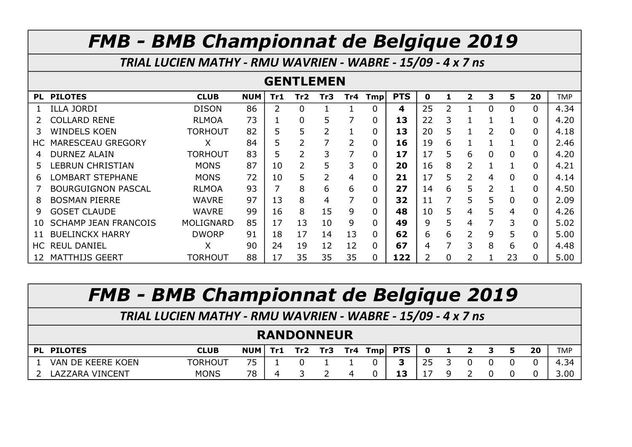TRIAL LUCIEN MATHY - RMU WAVRIEN - WABRE - 15/09 - 4 x 7 ns

#### GENTLEMEN

| <b>PL</b> | <b>PILOTES</b>              | <b>CLUB</b>      | <b>NUM</b> | Tr1 | Tr2      | Tr3 | Tr4 | Tmp          | <b>PTS</b> | 0  |    | $\mathbf{2}$  | 3             | 5              | 20             | <b>TMP</b> |
|-----------|-----------------------------|------------------|------------|-----|----------|-----|-----|--------------|------------|----|----|---------------|---------------|----------------|----------------|------------|
|           | <b>ILLA JORDI</b>           | <b>DISON</b>     | 86         |     | $\Omega$ |     |     |              | 4          | 25 |    |               | $\mathbf{0}$  | $\mathbf 0$    | 0              | 4.34       |
| 2         | <b>COLLARD RENE</b>         | <b>RLMOA</b>     | 73         |     | 0        | 5   |     | 0            | 13         | 22 | 3. |               |               |                | 0              | 4.20       |
| 3.        | <b>WINDELS KOEN</b>         | <b>TORHOUT</b>   | 82         | 5   | 5        | 2   |     | 0            | 13         | 20 | 5. |               | $\mathcal{L}$ | $\overline{0}$ | 0              | 4.18       |
| HC.       | MARESCEAU GREGORY           | X                | 84         | 5   |          |     | 2   | 0            | 16         | 19 | 6. |               |               |                | 0              | 2.46       |
| 4         | <b>DURNEZ ALAIN</b>         | <b>TORHOUT</b>   | 83         | 5   |          | 3   |     | 0            | 17         | 17 | 5. | 6             | $\Omega$      | $\overline{0}$ | $\Omega$       | 4.20       |
| 5.        | LEBRUN CHRISTIAN            | <b>MONS</b>      | 87         | 10  |          | 5   | 3   | 0            | 20         | 16 | 8  |               |               |                | 0              | 4.21       |
| 6         | LOMBART STEPHANE            | <b>MONS</b>      | 72         | 10  | 5        | 2   | 4   | 0            | 21         | 17 | 5. |               | 4             | $\overline{0}$ | 0              | 4.14       |
|           | <b>BOURGUIGNON PASCAL</b>   | <b>RLMOA</b>     | 93         | 7   | 8        | 6   | 6   |              | 27         | 14 | 6  | 5             | 2             | 1              | 0              | 4.50       |
| 8         | <b>BOSMAN PIERRE</b>        | <b>WAVRE</b>     | 97         | 13  | 8        | 4   | 7   | 0            | 32         | 11 |    | 5.            | 5             | $\mathbf 0$    | 0              | 2.09       |
| 9         | <b>GOSET CLAUDE</b>         | <b>WAVRE</b>     | 99         | 16  | 8        | 15  | 9   | <sup>n</sup> | 48         | 10 | 5. | 4             | 5             | 4              | $\Omega$       | 4.26       |
| 10.       | <b>SCHAMP JEAN FRANCOIS</b> | <b>MOLIGNARD</b> | 85         | 17  | 13       | 10  | 9   |              | 49         | 9  | 5. | 4             | 7             | 3              | $\Omega$       | 5.02       |
| 11        | <b>BUELINCKX HARRY</b>      | <b>DWORP</b>     | 91         | 18  | 17       | 14  | 13  | 0            | 62         | 6  | 6. | $\mathcal{P}$ | 9             | 5              | $\overline{0}$ | 5.00       |
| HC .      | <b>REUL DANIEL</b>          | X                | 90         | 24  | 19       | 12  | 12  | 0            | 67         | 4  |    | 3             | 8             | 6              | 0              | 4.48       |
| 12        | <b>MATTHIJS GEERT</b>       | <b>TORHOUT</b>   | 88         | 17  | 35       | 35  | 35  | 0            | 122        |    |    |               |               | 23             | 0              | 5.00       |

FMB - BMB Championnat de Belgique 2019

TRIAL LUCIEN MATHY - RMU WAVRIEN - WABRE - 15/09 - 4 x 7 ns

#### RANDONNEUR

| PI. | <b>PILOTES</b>                         | <b>CLUB</b>    | <b>NUM</b> | Tr1 | Tr <sub>2</sub> | Tr3. | Tr4 | Tmp | <b>PTS</b> |                     |  |  | 20 | <b>TMP</b>    |
|-----|----------------------------------------|----------------|------------|-----|-----------------|------|-----|-----|------------|---------------------|--|--|----|---------------|
|     | VAN DE KEERE KOEN                      | <b>TORHOUT</b> | フロ         |     |                 |      |     |     |            | $\sim$ $\sim$<br>-- |  |  |    | $\sim$<br>. . |
|     | <b>. VINCENT</b><br><b>ZARA</b><br>LAZ | <b>MONS</b>    | 78         |     |                 |      |     |     | 13         | -                   |  |  |    | 3.00          |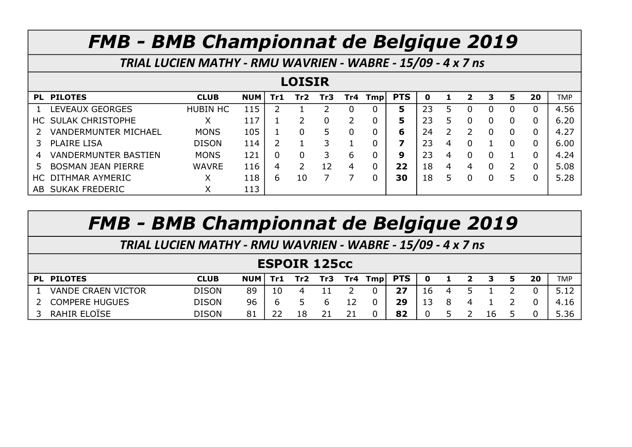TRIAL LUCIEN MATHY - RMU WAVRIEN - WABRE - 15/09 - 4 x 7 ns

#### LOISIR

|     | PL PILOTES                  | <b>CLUB</b>     | <b>NUM</b> | Tr1. | Tr2 | Tr3 | Tr4 | Tmp | <b>PTS</b> |    |   | 2 | з | 5 | 20 | <b>TMP</b> |
|-----|-----------------------------|-----------------|------------|------|-----|-----|-----|-----|------------|----|---|---|---|---|----|------------|
|     | LEVEAUX GEORGES             | <b>HUBIN HC</b> | 115        |      |     |     |     |     | 5          | 23 |   |   |   |   |    | 4.56       |
|     | HC SULAK CHRISTOPHE         | Χ               | 117        |      |     |     |     |     | 5          | 23 |   |   |   |   |    | 6.20       |
|     | <b>VANDERMUNTER MICHAEL</b> | <b>MONS</b>     | 105        |      |     |     |     |     | 6          | 24 |   |   |   |   |    | 4.27       |
|     | <b>PLAIRE LISA</b>          | <b>DISON</b>    | 114        |      |     |     |     |     | 7          | 23 | 4 |   |   |   |    | 6.00       |
| 4   | <b>VANDERMUNTER BASTIEN</b> | <b>MONS</b>     | 121        |      |     |     | 6   |     | 9          | 23 | 4 |   |   |   |    | 4.24       |
|     | <b>BOSMAN JEAN PIERRE</b>   | <b>WAVRE</b>    | 116        | 4    |     | 12  | 4   |     | 22         | 18 | 4 | 4 |   |   |    | 5.08       |
| HC. | DITHMAR AYMERIC             | Χ               | 118        | b    | 10  |     |     |     | 30         | 18 |   |   |   |   |    | 5.28       |
| AB. | <b>SUKAK FREDERIC</b>       | ∧               | 113        |      |     |     |     |     |            |    |   |   |   |   |    |            |

| <b>FMB - BMB Championnat de Belgique 2019</b>               |              |            |     |         |    |                 |         |            |          |              |                |    |    |    |            |
|-------------------------------------------------------------|--------------|------------|-----|---------|----|-----------------|---------|------------|----------|--------------|----------------|----|----|----|------------|
| TRIAL LUCIEN MATHY - RMU WAVRIEN - WABRE - 15/09 - 4 x 7 ns |              |            |     |         |    |                 |         |            |          |              |                |    |    |    |            |
| <b>ESPOIR 125cc</b>                                         |              |            |     |         |    |                 |         |            |          |              |                |    |    |    |            |
| PL PILOTES                                                  | <b>CLUB</b>  | <b>NUM</b> | Tr1 | Tr2 Tr3 |    |                 | Tr4 Tmp | <b>PTS</b> | <b>O</b> | $\mathbf{1}$ | $\overline{2}$ | -3 | 5. | 20 | <b>TMP</b> |
| <b>VANDE CRAEN VICTOR</b>                                   | <b>DISON</b> | 89         | 10  | 4       | 11 |                 |         | 27         | 16       | 4            |                |    |    |    | 5.12       |
| <b>COMPERE HUGUES</b>                                       | <b>DISON</b> | 96         | 6   | 5       | 6  | $12 \ \mathrm{$ |         | 29         | 13       | 8            | 4              |    |    |    | 4.16       |
| RAHIR ELOÏSE                                                | <b>DISON</b> | 81         | 22  | 18      | 21 |                 |         | 82         | 0        |              |                | 16 |    |    | 5.36       |